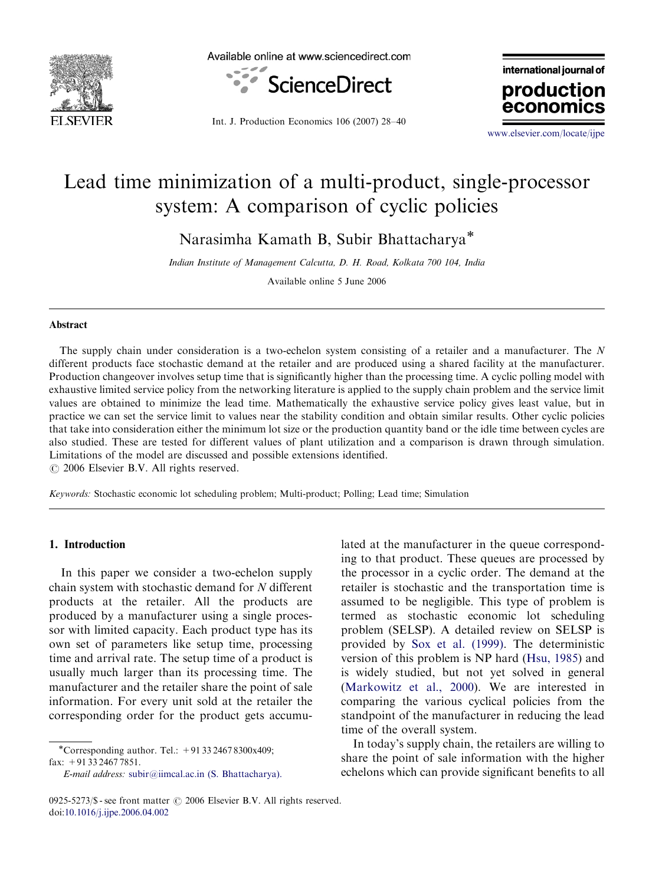



Int. J. Production Economics 106 (2007) 28–40

international journal of production econor

<www.elsevier.com/locate/ijpe>

## Lead time minimization of a multi-product, single-processor system: A comparison of cyclic policies

Narasimha Kamath B, Subir Bhattacharya<sup>\*</sup>

Indian Institute of Management Calcutta, D. H. Road, Kolkata 700 104, India

Available online 5 June 2006

## Abstract

The supply chain under consideration is a two-echelon system consisting of a retailer and a manufacturer. The N different products face stochastic demand at the retailer and are produced using a shared facility at the manufacturer. Production changeover involves setup time that is significantly higher than the processing time. A cyclic polling model with exhaustive limited service policy from the networking literature is applied to the supply chain problem and the service limit values are obtained to minimize the lead time. Mathematically the exhaustive service policy gives least value, but in practice we can set the service limit to values near the stability condition and obtain similar results. Other cyclic policies that take into consideration either the minimum lot size or the production quantity band or the idle time between cycles are also studied. These are tested for different values of plant utilization and a comparison is drawn through simulation. Limitations of the model are discussed and possible extensions identified.

 $O$  2006 Elsevier B.V. All rights reserved.

Keywords: Stochastic economic lot scheduling problem; Multi-product; Polling; Lead time; Simulation

## 1. Introduction

In this paper we consider a two-echelon supply chain system with stochastic demand for N different products at the retailer. All the products are produced by a manufacturer using a single processor with limited capacity. Each product type has its own set of parameters like setup time, processing time and arrival rate. The setup time of a product is usually much larger than its processing time. The manufacturer and the retailer share the point of sale information. For every unit sold at the retailer the corresponding order for the product gets accumu-

-Corresponding author. Tel.: +91 33 2467 8300x409; fax: +91 33 2467 7851.

E-mail address: [subir@iimcal.ac.in \(S. Bhattacharya\).](mailto:subir@iimcal.ac.in)

lated at the manufacturer in the queue corresponding to that product. These queues are processed by the processor in a cyclic order. The demand at the retailer is stochastic and the transportation time is assumed to be negligible. This type of problem is termed as stochastic economic lot scheduling problem (SELSP). A detailed review on SELSP is provided by [Sox et al. \(1999\).](#page--1-0) The deterministic version of this problem is NP hard ([Hsu, 1985](#page--1-0)) and is widely studied, but not yet solved in general ([Markowitz et al., 2000\)](#page--1-0). We are interested in comparing the various cyclical policies from the standpoint of the manufacturer in reducing the lead time of the overall system.

In today's supply chain, the retailers are willing to share the point of sale information with the higher echelons which can provide significant benefits to all

<sup>0925-5273/\$ -</sup> see front matter  $\odot$  2006 Elsevier B.V. All rights reserved. doi[:10.1016/j.ijpe.2006.04.002](dx.doi.org/10.1016/j.ijpe.2006.04.002)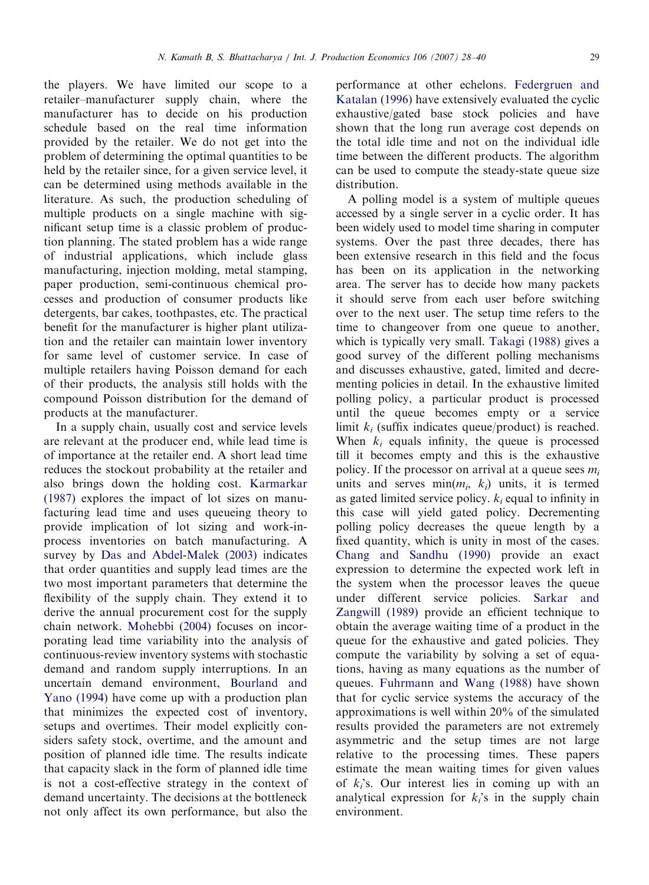the players. We have limited our scope to a retailer–manufacturer supply chain, where the manufacturer has to decide on his production schedule based on the real time information provided by the retailer. We do not get into the problem of determining the optimal quantities to be held by the retailer since, for a given service level, it can be determined using methods available in the literature. As such, the production scheduling of multiple products on a single machine with significant setup time is a classic problem of production planning. The stated problem has a wide range of industrial applications, which include glass manufacturing, injection molding, metal stamping, paper production, semi-continuous chemical processes and production of consumer products like detergents, bar cakes, toothpastes, etc. The practical benefit for the manufacturer is higher plant utilization and the retailer can maintain lower inventory for same level of customer service. In case of multiple retailers having Poisson demand for each of their products, the analysis still holds with the compound Poisson distribution for the demand of products at the manufacturer.

In a supply chain, usually cost and service levels are relevant at the producer end, while lead time is of importance at the retailer end. A short lead time reduces the stockout probability at the retailer and also brings down the holding cost. [Karmarkar](#page--1-0) [\(1987\)](#page--1-0) explores the impact of lot sizes on manufacturing lead time and uses queueing theory to provide implication of lot sizing and work-inprocess inventories on batch manufacturing. A survey by [Das and Abdel-Malek \(2003\)](#page--1-0) indicates that order quantities and supply lead times are the two most important parameters that determine the flexibility of the supply chain. They extend it to derive the annual procurement cost for the supply chain network. [Mohebbi \(2004\)](#page--1-0) focuses on incorporating lead time variability into the analysis of continuous-review inventory systems with stochastic demand and random supply interruptions. In an uncertain demand environment, [Bourland and](#page--1-0) [Yano \(1994\)](#page--1-0) have come up with a production plan that minimizes the expected cost of inventory, setups and overtimes. Their model explicitly considers safety stock, overtime, and the amount and position of planned idle time. The results indicate that capacity slack in the form of planned idle time is not a cost-effective strategy in the context of demand uncertainty. The decisions at the bottleneck not only affect its own performance, but also the

performance at other echelons. [Federgruen and](#page--1-0) [Katalan \(1996\)](#page--1-0) have extensively evaluated the cyclic exhaustive/gated base stock policies and have shown that the long run average cost depends on the total idle time and not on the individual idle time between the different products. The algorithm can be used to compute the steady-state queue size distribution.

A polling model is a system of multiple queues accessed by a single server in a cyclic order. It has been widely used to model time sharing in computer systems. Over the past three decades, there has been extensive research in this field and the focus has been on its application in the networking area. The server has to decide how many packets it should serve from each user before switching over to the next user. The setup time refers to the time to changeover from one queue to another, which is typically very small. [Takagi \(1988\)](#page--1-0) gives a good survey of the different polling mechanisms and discusses exhaustive, gated, limited and decrementing policies in detail. In the exhaustive limited polling policy, a particular product is processed until the queue becomes empty or a service limit  $k_i$  (suffix indicates queue/product) is reached. When  $k_i$  equals infinity, the queue is processed till it becomes empty and this is the exhaustive policy. If the processor on arrival at a queue sees  $m_i$ units and serves  $\min(m_i, k_i)$  units, it is termed as gated limited service policy.  $k_i$  equal to infinity in this case will yield gated policy. Decrementing polling policy decreases the queue length by a fixed quantity, which is unity in most of the cases. [Chang and Sandhu \(1990\)](#page--1-0) provide an exact expression to determine the expected work left in the system when the processor leaves the queue under different service policies. [Sarkar and](#page--1-0) [Zangwill \(1989\)](#page--1-0) provide an efficient technique to obtain the average waiting time of a product in the queue for the exhaustive and gated policies. They compute the variability by solving a set of equations, having as many equations as the number of queues. [Fuhrmann and Wang \(1988\)](#page--1-0) have shown that for cyclic service systems the accuracy of the approximations is well within 20% of the simulated results provided the parameters are not extremely asymmetric and the setup times are not large relative to the processing times. These papers estimate the mean waiting times for given values of  $k<sub>i</sub>$ 's. Our interest lies in coming up with an analytical expression for  $k_i$ 's in the supply chain environment.